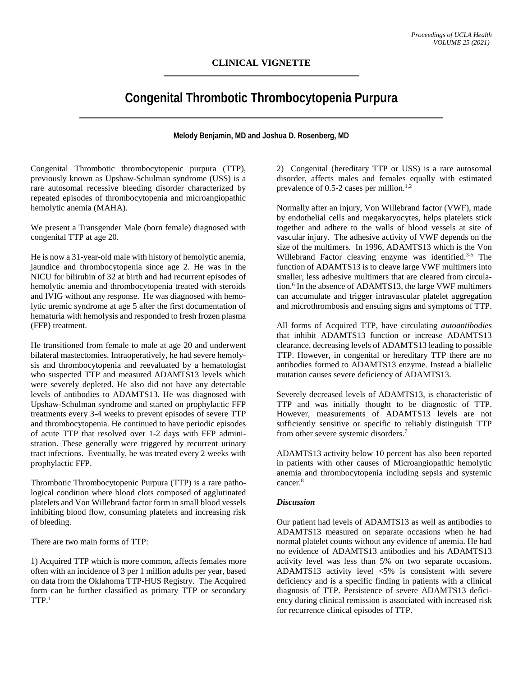## **CLINICAL VIGNETTE**

# **Congenital Thrombotic Thrombocytopenia Purpura**

### **Melody Benjamin, MD and Joshua D. Rosenberg, MD**

Congenital Thrombotic thrombocytopenic purpura (TTP), previously known as Upshaw-Schulman syndrome (USS) is a rare autosomal recessive bleeding disorder characterized by repeated episodes of thrombocytopenia and microangiopathic hemolytic anemia (MAHA).

We present a Transgender Male (born female) diagnosed with congenital TTP at age 20.

He is now a 31-year-old male with history of hemolytic anemia, jaundice and thrombocytopenia since age 2. He was in the NICU for bilirubin of 32 at birth and had recurrent episodes of hemolytic anemia and thrombocytopenia treated with steroids and IVIG without any response. He was diagnosed with hemolytic uremic syndrome at age 5 after the first documentation of hematuria with hemolysis and responded to fresh frozen plasma (FFP) treatment.

He transitioned from female to male at age 20 and underwent bilateral mastectomies. Intraoperatively, he had severe hemolysis and thrombocytopenia and reevaluated by a hematologist who suspected TTP and measured ADAMTS13 levels which were severely depleted. He also did not have any detectable levels of antibodies to ADAMTS13. He was diagnosed with Upshaw-Schulman syndrome and started on prophylactic FFP treatments every 3-4 weeks to prevent episodes of severe TTP and thrombocytopenia. He continued to have periodic episodes of acute TTP that resolved over 1-2 days with FFP administration. These generally were triggered by recurrent urinary tract infections. Eventually, he was treated every 2 weeks with prophylactic FFP.

Thrombotic Thrombocytopenic Purpura (TTP) is a rare pathological condition where blood clots composed of agglutinated platelets and Von Willebrand factor form in small blood vessels inhibiting blood flow, consuming platelets and increasing risk of bleeding.

There are two main forms of TTP:

1) Acquired TTP which is more common, affects females more often with an incidence of 3 per 1 million adults per year, based on data from the Oklahoma TTP-HUS Registry. The Acquired form can be further classified as primary TTP or secondary  $TTP.^1$ 

2) Congenital (hereditary TTP or USS) is a rare autosomal disorder, affects males and females equally with estimated prevalence of 0.5-2 cases per million. $1,2$ 

Normally after an injury, Von Willebrand factor (VWF), made by endothelial cells and megakaryocytes, helps platelets stick together and adhere to the walls of blood vessels at site of vascular injury. The adhesive activity of VWF depends on the size of the multimers. In 1996, ADAMTS13 which is the Von Willebrand Factor cleaving enzyme was identified.<sup>3-5</sup> The function of ADAMTS13 is to cleave large VWF multimers into smaller, less adhesive multimers that are cleared from circulation.<sup>6</sup> In the absence of ADAMTS13, the large VWF multimers can accumulate and trigger intravascular platelet aggregation and microthrombosis and ensuing signs and symptoms of TTP.

All forms of Acquired TTP, have circulating *autoantibodies* that inhibit ADAMTS13 function or increase ADAMTS13 clearance, decreasing levels of ADAMTS13 leading to possible TTP. However, in congenital or hereditary TTP there are no antibodies formed to ADAMTS13 enzyme. Instead a biallelic mutation causes severe deficiency of ADAMTS13.

Severely decreased levels of ADAMTS13, is characteristic of TTP and was initially thought to be diagnostic of TTP. However, measurements of ADAMTS13 levels are not sufficiently sensitive or specific to reliably distinguish TTP from other severe systemic disorders.<sup>7</sup>

ADAMTS13 activity below 10 percent has also been reported in patients with other causes of Microangiopathic hemolytic anemia and thrombocytopenia including sepsis and systemic cancer.8

#### *Discussion*

Our patient had levels of ADAMTS13 as well as antibodies to ADAMTS13 measured on separate occasions when he had normal platelet counts without any evidence of anemia. He had no evidence of ADAMTS13 antibodies and his ADAMTS13 activity level was less than 5% on two separate occasions. ADAMTS13 activity level <5% is consistent with severe deficiency and is a specific finding in patients with a clinical diagnosis of TTP. Persistence of severe ADAMTS13 deficiency during clinical remission is associated with increased risk for recurrence clinical episodes of TTP.